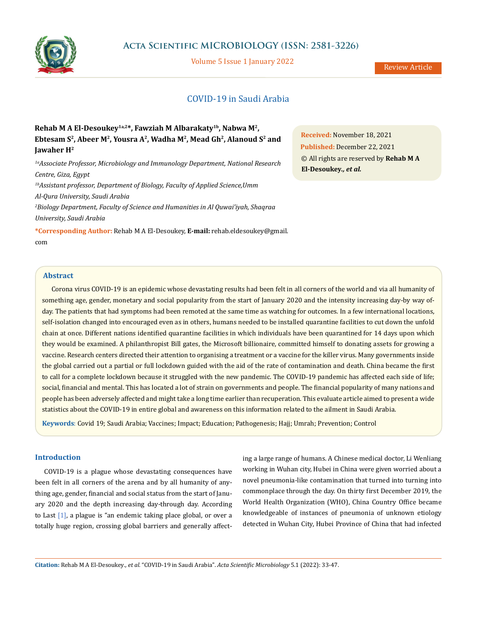

# **Acta Scientific MICROBIOLOGY (ISSN: 2581-3226)**

Volume 5 Issue 1 January 2022

Review Article

# COVID-19 in Saudi Arabia

# **Rehab M A El-Desoukey1a,2\*, Fawziah M Albarakaty1b, Nabwa M2,**  Ebtesam S<sup>2</sup>, Abeer M<sup>2</sup>, Yousra A<sup>2</sup>, Wadha M<sup>2</sup>, Mead Gh<sup>2</sup>, Alanoud S<sup>2</sup> and **Jawaher H2**

*1aAssociate Professor, Microbiology and Immunology Department, National Research Centre, Giza, Egypt*

*1bAssistant professor, Department of Biology, Faculty of Applied Science,Umm Al-Qura University, Saudi Arabia 2 Biology Department, Faculty of Science and Humanities in Al Quwai'iyah, Shaqraa University, Saudi Arabia*

**\*Corresponding Author:** Rehab M A El-Desoukey, **E-mail:** [rehab.eldesoukey@gmail.](mailto:rehab.eldesoukey%40gmail.com?subject=) [com](mailto:rehab.eldesoukey%40gmail.com?subject=)

**Received:** November 18, 2021 **Published:** December 22, 2021 © All rights are reserved by **Rehab M A El-Desoukey***., et al.*

## **Abstract**

Corona virus COVID-19 is an epidemic whose devastating results had been felt in all corners of the world and via all humanity of something age, gender, monetary and social popularity from the start of January 2020 and the intensity increasing day-by way ofday. The patients that had symptoms had been remoted at the same time as watching for outcomes. In a few international locations, self-isolation changed into encouraged even as in others, humans needed to be installed quarantine facilities to cut down the unfold chain at once. Different nations identified quarantine facilities in which individuals have been quarantined for 14 days upon which they would be examined. A philanthropist Bill gates, the Microsoft billionaire, committed himself to donating assets for growing a vaccine. Research centers directed their attention to organising a treatment or a vaccine for the killer virus. Many governments inside the global carried out a partial or full lockdown guided with the aid of the rate of contamination and death. China became the first to call for a complete lockdown because it struggled with the new pandemic. The COVID-19 pandemic has affected each side of life; social, financial and mental. This has located a lot of strain on governments and people. The financial popularity of many nations and people has been adversely affected and might take a long time earlier than recuperation. This evaluate article aimed to present a wide statistics about the COVID-19 in entire global and awareness on this information related to the ailment in Saudi Arabia.

**Keywords**: Covid 19; Saudi Arabia; Vaccines; Impact; Education; Pathogenesis; Hajj; Umrah; Prevention; Control

## **Introduction**

COVID-19 is a plague whose devastating consequences have been felt in all corners of the arena and by all humanity of anything age, gender, financial and social status from the start of January 2020 and the depth increasing day-through day. According to Last  $[1]$ , a plague is "an endemic taking place global, or over a totally huge region, crossing global barriers and generally affecting a large range of humans. A Chinese medical doctor, Li Wenliang working in Wuhan city, Hubei in China were given worried about a novel pneumonia-like contamination that turned into turning into commonplace through the day. On thirty first December 2019, the World Health Organization (WHO), China Country Office became knowledgeable of instances of pneumonia of unknown etiology detected in Wuhan City, Hubei Province of China that had infected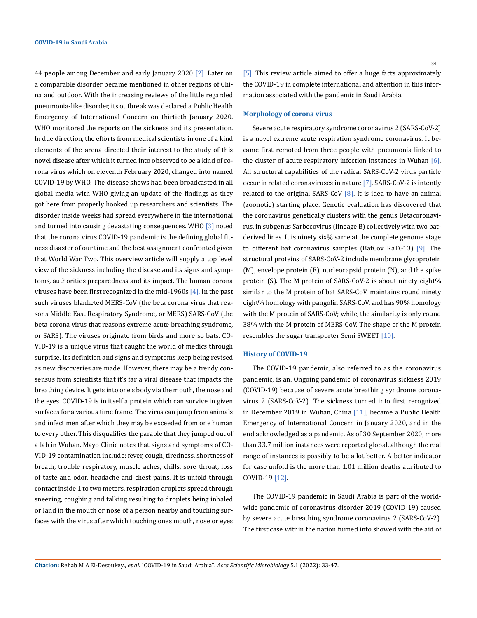44 people among December and early January 2020 [2]. Later on a comparable disorder became mentioned in other regions of China and outdoor. With the increasing reviews of the little regarded pneumonia-like disorder, its outbreak was declared a Public Health Emergency of International Concern on thirtieth January 2020. WHO monitored the reports on the sickness and its presentation. In due direction, the efforts from medical scientists in one of a kind elements of the arena directed their interest to the study of this novel disease after which it turned into observed to be a kind of corona virus which on eleventh February 2020, changed into named COVID-19 by WHO. The disease shows had been broadcasted in all global media with WHO giving an update of the findings as they got here from properly hooked up researchers and scientists. The disorder inside weeks had spread everywhere in the international and turned into causing devastating consequences. WHO [3] noted that the corona virus COVID-19 pandemic is the defining global fitness disaster of our time and the best assignment confronted given that World War Two. This overview article will supply a top level view of the sickness including the disease and its signs and symptoms, authorities preparedness and its impact. The human corona viruses have been first recognized in the mid-1960s [4]. In the past such viruses blanketed MERS-CoV (the beta corona virus that reasons Middle East Respiratory Syndrome, or MERS) SARS-CoV (the beta corona virus that reasons extreme acute breathing syndrome, or SARS). The viruses originate from birds and more so bats. CO-VID-19 is a unique virus that caught the world of medics through surprise. Its definition and signs and symptoms keep being revised as new discoveries are made. However, there may be a trendy consensus from scientists that it's far a viral disease that impacts the breathing device. It gets into one's body via the mouth, the nose and the eyes. COVID-19 is in itself a protein which can survive in given surfaces for a various time frame. The virus can jump from animals and infect men after which they may be exceeded from one human to every other. This disqualifies the parable that they jumped out of a lab in Wuhan. Mayo Clinic notes that signs and symptoms of CO-VID-19 contamination include: fever, cough, tiredness, shortness of breath, trouble respiratory, muscle aches, chills, sore throat, loss of taste and odor, headache and chest pains. It is unfold through contact inside 1 to two meters, respiration droplets spread through sneezing, coughing and talking resulting to droplets being inhaled or land in the mouth or nose of a person nearby and touching surfaces with the virus after which touching ones mouth, nose or eyes

34

[5]. This review article aimed to offer a huge facts approximately the COVID-19 in complete international and attention in this information associated with the pandemic in Saudi Arabia.

### **Morphology of corona virus**

Severe acute respiratory syndrome coronavirus 2 (SARS-CoV-2) is a novel extreme acute respiration syndrome coronavirus. It became first remoted from three people with pneumonia linked to the cluster of acute respiratory infection instances in Wuhan  $[6]$ . All structural capabilities of the radical SARS-CoV-2 virus particle occur in related coronaviruses in nature [7]. SARS-CoV-2 is intently related to the original SARS-CoV  $[8]$ . It is idea to have an animal (zoonotic) starting place. Genetic evaluation has discovered that the coronavirus genetically clusters with the genus Betacoronavirus, in subgenus Sarbecovirus (lineage B) collectively with two batderived lines. It is ninety six% same at the complete genome stage to different bat coronavirus samples (BatCov RaTG13) [9]. The structural proteins of SARS-CoV-2 include membrane glycoprotein (M), envelope protein (E), nucleocapsid protein (N), and the spike protein (S). The M protein of SARS-CoV-2 is about ninety eight% similar to the M protein of bat SARS-CoV, maintains round ninety eight% homology with pangolin SARS-CoV, and has 90% homology with the M protein of SARS-CoV; while, the similarity is only round 38% with the M protein of MERS-CoV. The shape of the M protein resembles the sugar transporter Semi SWEET [10].

#### **History of COVID-19**

The COVID-19 pandemic, also referred to as the coronavirus pandemic, is an. Ongoing pandemic of coronavirus sickness 2019 (COVID-19) because of severe acute breathing syndrome coronavirus 2 (SARS-CoV-2). The sickness turned into first recognized in December 2019 in Wuhan, China [11], became a Public Health Emergency of International Concern in January 2020, and in the end acknowledged as a pandemic. As of 30 September 2020, more than 33.7 million instances were reported global, although the real range of instances is possibly to be a lot better. A better indicator for case unfold is the more than 1.01 million deaths attributed to COVID-19 [12].

The COVID-19 pandemic in Saudi Arabia is part of the worldwide pandemic of coronavirus disorder 2019 (COVID-19) caused by severe acute breathing syndrome coronavirus 2 (SARS-CoV-2). The first case within the nation turned into showed with the aid of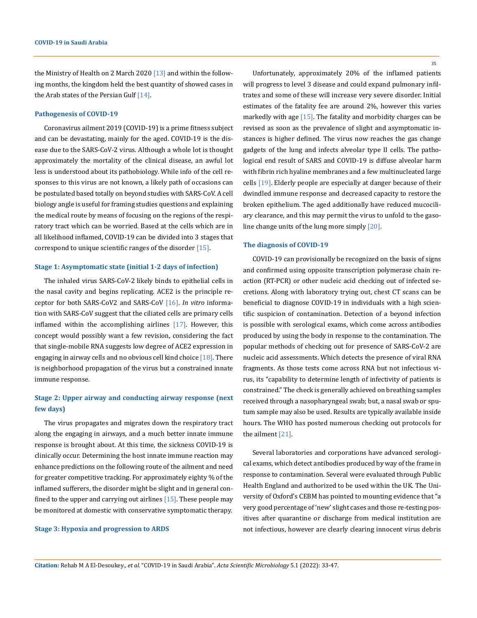the Ministry of Health on 2 March 2020 [13] and within the following months, the kingdom held the best quantity of showed cases in the Arab states of the Persian Gulf  $[14]$ .

### **Pathogenesis of COVID-19**

Coronavirus ailment 2019 (COVID-19) is a prime fitness subject and can be devastating, mainly for the aged. COVID-19 is the disease due to the SARS-CoV-2 virus. Although a whole lot is thought approximately the mortality of the clinical disease, an awful lot less is understood about its pathobiology. While info of the cell responses to this virus are not known, a likely path of occasions can be postulated based totally on beyond studies with SARS-CoV. A cell biology angle is useful for framing studies questions and explaining the medical route by means of focusing on the regions of the respiratory tract which can be worried. Based at the cells which are in all likelihood inflamed, COVID-19 can be divided into 3 stages that correspond to unique scientific ranges of the disorder [15].

#### **Stage 1: Asymptomatic state (initial 1-2 days of infection)**

The inhaled virus SARS-CoV-2 likely binds to epithelial cells in the nasal cavity and begins replicating. ACE2 is the principle receptor for both SARS-CoV2 and SARS-CoV [16]. *In vitro* information with SARS-CoV suggest that the ciliated cells are primary cells inflamed within the accomplishing airlines  $[17]$ . However, this concept would possibly want a few revision, considering the fact that single-mobile RNA suggests low degree of ACE2 expression in engaging in airway cells and no obvious cell kind choice  $[18]$ . There is neighborhood propagation of the virus but a constrained innate immune response.

# **Stage 2: Upper airway and conducting airway response (next few days)**

The virus propagates and migrates down the respiratory tract along the engaging in airways, and a much better innate immune response is brought about. At this time, the sickness COVID-19 is clinically occur. Determining the host innate immune reaction may enhance predictions on the following route of the ailment and need for greater competitive tracking. For approximately eighty % of the inflamed sufferers, the disorder might be slight and in general confined to the upper and carrying out airlines  $[15]$ . These people may be monitored at domestic with conservative symptomatic therapy.

#### **Stage 3: Hypoxia and progression to ARDS**

35

Unfortunately, approximately 20% of the inflamed patients will progress to level 3 disease and could expand pulmonary infiltrates and some of these will increase very severe disorder. Initial estimates of the fatality fee are around 2%, however this varies markedly with age  $[15]$ . The fatality and morbidity charges can be revised as soon as the prevalence of slight and asymptomatic instances is higher defined. The virus now reaches the gas change gadgets of the lung and infects alveolar type II cells. The pathological end result of SARS and COVID-19 is diffuse alveolar harm with fibrin rich hyaline membranes and a few multinucleated large cells [19]. Elderly people are especially at danger because of their dwindled immune response and decreased capacity to restore the broken epithelium. The aged additionally have reduced mucociliary clearance, and this may permit the virus to unfold to the gasoline change units of the lung more simply [20].

## **The diagnosis of COVID-19**

COVID-19 can provisionally be recognized on the basis of signs and confirmed using opposite transcription polymerase chain reaction (RT-PCR) or other nucleic acid checking out of infected secretions. Along with laboratory trying out, chest CT scans can be beneficial to diagnose COVID-19 in individuals with a high scientific suspicion of contamination. Detection of a beyond infection is possible with serological exams, which come across antibodies produced by using the body in response to the contamination. The popular methods of checking out for presence of SARS-CoV-2 are nucleic acid assessments. Which detects the presence of viral RNA fragments. As those tests come across RNA but not infectious virus, its "capability to determine length of infectivity of patients is constrained." The check is generally achieved on breathing samples received through a nasopharyngeal swab; but, a nasal swab or sputum sample may also be used. Results are typically available inside hours. The WHO has posted numerous checking out protocols for the ailment [21].

Several laboratories and corporations have advanced serological exams, which detect antibodies produced by way of the frame in response to contamination. Several were evaluated through Public Health England and authorized to be used within the UK. The University of Oxford's CEBM has pointed to mounting evidence that "a very good percentage of 'new' slight cases and those re-testing positives after quarantine or discharge from medical institution are not infectious, however are clearly clearing innocent virus debris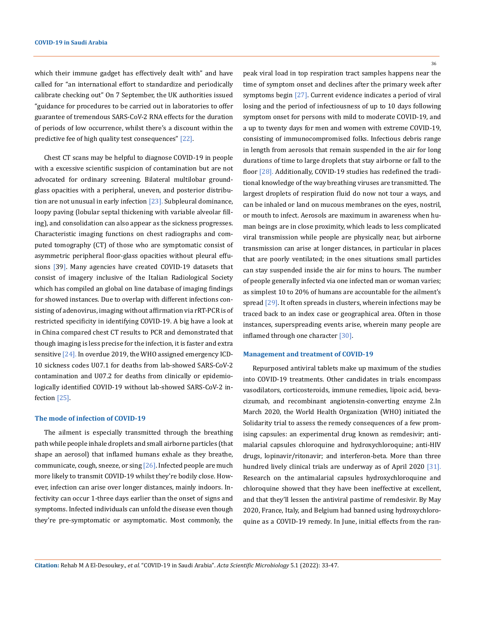which their immune gadget has effectively dealt with" and have called for "an international effort to standardize and periodically calibrate checking out" On 7 September, the UK authorities issued "guidance for procedures to be carried out in laboratories to offer guarantee of tremendous SARS-CoV-2 RNA effects for the duration of periods of low occurrence, whilst there's a discount within the predictive fee of high quality test consequences" [22].

Chest CT scans may be helpful to diagnose COVID-19 in people with a excessive scientific suspicion of contamination but are not advocated for ordinary screening. Bilateral multilobar groundglass opacities with a peripheral, uneven, and posterior distribution are not unusual in early infection [23]. Subpleural dominance, loopy paving (lobular septal thickening with variable alveolar filling), and consolidation can also appear as the sickness progresses. Characteristic imaging functions on chest radiographs and computed tomography (CT) of those who are symptomatic consist of asymmetric peripheral floor-glass opacities without pleural effusions [39]. Many agencies have created COVID-19 datasets that consist of imagery inclusive of the Italian Radiological Society which has compiled an global on line database of imaging findings for showed instances. Due to overlap with different infections consisting of adenovirus, imaging without affirmation via rRT-PCR is of restricted specificity in identifying COVID-19. A big have a look at in China compared chest CT results to PCR and demonstrated that though imaging is less precise for the infection, it is faster and extra sensitive [24]. In overdue 2019, the WHO assigned emergency ICD-10 sickness codes U07.1 for deaths from lab-showed SARS-CoV-2 contamination and U07.2 for deaths from clinically or epidemiologically identified COVID-19 without lab-showed SARS-CoV-2 infection [25].

#### **The mode of infection of COVID-19**

The ailment is especially transmitted through the breathing path while people inhale droplets and small airborne particles (that shape an aerosol) that inflamed humans exhale as they breathe, communicate, cough, sneeze, or sing  $[26]$ . Infected people are much more likely to transmit COVID-19 whilst they're bodily close. However, infection can arise over longer distances, mainly indoors. Infectivity can occur 1-three days earlier than the onset of signs and symptoms. Infected individuals can unfold the disease even though they're pre-symptomatic or asymptomatic. Most commonly, the

36

peak viral load in top respiration tract samples happens near the time of symptom onset and declines after the primary week after symptoms begin [27]. Current evidence indicates a period of viral losing and the period of infectiousness of up to 10 days following symptom onset for persons with mild to moderate COVID-19, and a up to twenty days for men and women with extreme COVID-19, consisting of immunocompromised folks. Infectious debris range in length from aerosols that remain suspended in the air for long durations of time to large droplets that stay airborne or fall to the floor [28]. Additionally, COVID-19 studies has redefined the traditional knowledge of the way breathing viruses are transmitted. The largest droplets of respiration fluid do now not tour a ways, and can be inhaled or land on mucous membranes on the eyes, nostril, or mouth to infect. Aerosols are maximum in awareness when human beings are in close proximity, which leads to less complicated viral transmission while people are physically near, but airborne transmission can arise at longer distances, in particular in places that are poorly ventilated; in the ones situations small particles can stay suspended inside the air for mins to hours. The number of people generally infected via one infected man or woman varies; as simplest 10 to 20% of humans are accountable for the ailment's spread [29]. It often spreads in clusters, wherein infections may be traced back to an index case or geographical area. Often in those instances, superspreading events arise, wherein many people are inflamed through one character [30].

#### **Management and treatment of COVID-19**

Repurposed antiviral tablets make up maximum of the studies into COVID-19 treatments. Other candidates in trials encompass vasodilators, corticosteroids, immune remedies, lipoic acid, bevacizumab, and recombinant angiotensin-converting enzyme 2.In March 2020, the World Health Organization (WHO) initiated the Solidarity trial to assess the remedy consequences of a few promising capsules: an experimental drug known as remdesivir; antimalarial capsules chloroquine and hydroxychloroquine; anti-HIV drugs, lopinavir/ritonavir; and interferon-beta. More than three hundred lively clinical trials are underway as of April 2020 [31]. Research on the antimalarial capsules hydroxychloroquine and chloroquine showed that they have been ineffective at excellent, and that they'll lessen the antiviral pastime of remdesivir. By May 2020, France, Italy, and Belgium had banned using hydroxychloroquine as a COVID-19 remedy. In June, initial effects from the ran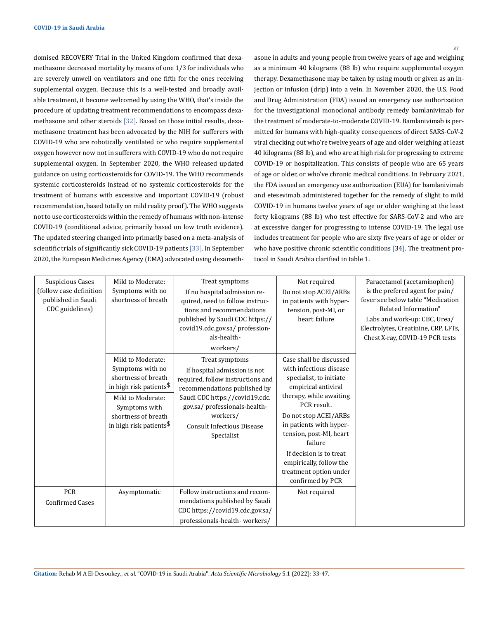domised RECOVERY Trial in the United Kingdom confirmed that dexamethasone decreased mortality by means of one 1/3 for individuals who are severely unwell on ventilators and one fifth for the ones receiving supplemental oxygen. Because this is a well-tested and broadly available treatment, it become welcomed by using the WHO, that's inside the procedure of updating treatment recommendations to encompass dexamethasone and other steroids [32]. Based on those initial results, dexamethasone treatment has been advocated by the NIH for sufferers with COVID-19 who are robotically ventilated or who require supplemental oxygen however now not in sufferers with COVID-19 who do not require supplemental oxygen. In September 2020, the WHO released updated guidance on using corticosteroids for COVID-19. The WHO recommends systemic corticosteroids instead of no systemic corticosteroids for the treatment of humans with excessive and important COVID-19 (robust recommendation, based totally on mild reality proof). The WHO suggests not to use corticosteroids within the remedy of humans with non-intense COVID-19 (conditional advice, primarily based on low truth evidence). The updated steering changed into primarily based on a meta-analysis of scientific trials of significantly sick COVID-19 patients [33]. In September 2020, the European Medicines Agency (EMA) advocated using dexameth-

asone in adults and young people from twelve years of age and weighing as a minimum 40 kilograms (88 lb) who require supplemental oxygen therapy. Dexamethasone may be taken by using mouth or given as an injection or infusion (drip) into a vein. In November 2020, the U.S. Food and Drug Administration (FDA) issued an emergency use authorization for the investigational monoclonal antibody remedy bamlanivimab for the treatment of moderate-to-moderate COVID-19. Bamlanivimab is permitted for humans with high-quality consequences of direct SARS-CoV-2 viral checking out who're twelve years of age and older weighing at least 40 kilograms (88 lb), and who are at high risk for progressing to extreme COVID-19 or hospitalization. This consists of people who are 65 years of age or older, or who've chronic medical conditions. In February 2021, the FDA issued an emergency use authorization (EUA) for bamlanivimab and etesevimab administered together for the remedy of slight to mild COVID-19 in humans twelve years of age or older weighing at the least forty kilograms (88 lb) who test effective for SARS-CoV-2 and who are at excessive danger for progressing to intense COVID-19. The legal use includes treatment for people who are sixty five years of age or older or who have positive chronic scientific conditions [34]. The treatment protocol in Saudi Arabia clarified in table 1.

| <b>Suspicious Cases</b><br>(follow case definition<br>published in Saudi<br>CDC guidelines) | Mild to Moderate:<br>Symptoms with no<br>shortness of breath                                                                                                                                | Treat symptoms<br>If no hospital admission re-<br>quired, need to follow instruc-<br>tions and recommendations<br>published by Saudi CDC https://<br>covid19.cdc.gov.sa/profession-<br>als-health-<br>workers/                                        | Not required<br>Do not stop ACEI/ARBs<br>in patients with hyper-<br>tension, post-MI, or<br>heart failure                                                                                                                                                                                                                                    | Paracetamol (acetaminophen)<br>is the prefered agent for pain/<br>fever see below table "Medication<br>Related Information"<br>Labs and work-up: CBC, Urea/<br>Electrolytes, Creatinine, CRP, LFTs,<br>Chest X-ray, COVID-19 PCR tests |
|---------------------------------------------------------------------------------------------|---------------------------------------------------------------------------------------------------------------------------------------------------------------------------------------------|-------------------------------------------------------------------------------------------------------------------------------------------------------------------------------------------------------------------------------------------------------|----------------------------------------------------------------------------------------------------------------------------------------------------------------------------------------------------------------------------------------------------------------------------------------------------------------------------------------------|----------------------------------------------------------------------------------------------------------------------------------------------------------------------------------------------------------------------------------------|
|                                                                                             | Mild to Moderate:<br>Symptoms with no<br>shortness of breath<br>in high risk patients\$<br>Mild to Moderate:<br>Symptoms with<br>shortness of breath<br>in high risk patients <sup>\$</sup> | Treat symptoms<br>If hospital admission is not<br>required, follow instructions and<br>recommendations published by<br>Saudi CDC https://covid19.cdc.<br>gov.sa/ professionals-health-<br>workers/<br><b>Consult Infectious Disease</b><br>Specialist | Case shall be discussed<br>with infectious disease<br>specialist, to initiate<br>empirical antiviral<br>therapy, while awaiting<br>PCR result.<br>Do not stop ACEI/ARBs<br>in patients with hyper-<br>tension, post-MI, heart<br>failure<br>If decision is to treat<br>empirically, follow the<br>treatment option under<br>confirmed by PCR |                                                                                                                                                                                                                                        |
| <b>PCR</b>                                                                                  | Asymptomatic                                                                                                                                                                                | Follow instructions and recom-                                                                                                                                                                                                                        | Not required                                                                                                                                                                                                                                                                                                                                 |                                                                                                                                                                                                                                        |
| <b>Confirmed Cases</b>                                                                      |                                                                                                                                                                                             | mendations published by Saudi<br>CDC https://covid19.cdc.gov.sa/                                                                                                                                                                                      |                                                                                                                                                                                                                                                                                                                                              |                                                                                                                                                                                                                                        |
|                                                                                             |                                                                                                                                                                                             | professionals-health-workers/                                                                                                                                                                                                                         |                                                                                                                                                                                                                                                                                                                                              |                                                                                                                                                                                                                                        |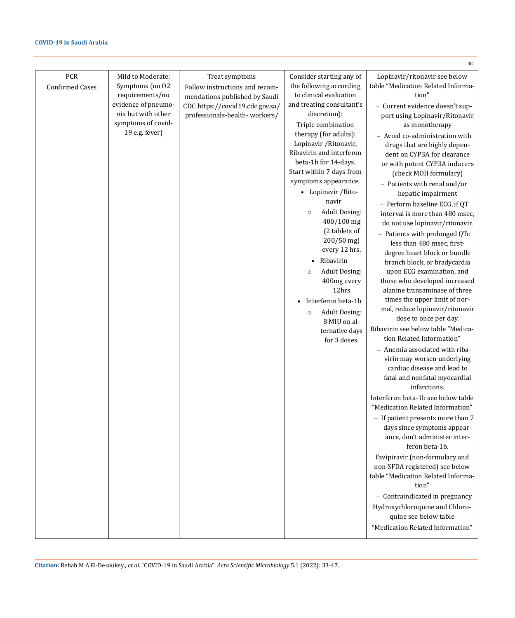|                               |                                                                                                                                              |                                                                                                                                                       |                                                                                                                                                                                                                                                                                                                                                                                                                                                                                                                                                                                                                                              | - 38                                                                                                                                                                                                                                                                                                                                                                                                                                                                                                                                                                                                                                                                                                                                                                                                                                                                                                                                                                                                                                                                                                                                                                                                                                                                                                                                                                                                                                                                                            |
|-------------------------------|----------------------------------------------------------------------------------------------------------------------------------------------|-------------------------------------------------------------------------------------------------------------------------------------------------------|----------------------------------------------------------------------------------------------------------------------------------------------------------------------------------------------------------------------------------------------------------------------------------------------------------------------------------------------------------------------------------------------------------------------------------------------------------------------------------------------------------------------------------------------------------------------------------------------------------------------------------------------|-------------------------------------------------------------------------------------------------------------------------------------------------------------------------------------------------------------------------------------------------------------------------------------------------------------------------------------------------------------------------------------------------------------------------------------------------------------------------------------------------------------------------------------------------------------------------------------------------------------------------------------------------------------------------------------------------------------------------------------------------------------------------------------------------------------------------------------------------------------------------------------------------------------------------------------------------------------------------------------------------------------------------------------------------------------------------------------------------------------------------------------------------------------------------------------------------------------------------------------------------------------------------------------------------------------------------------------------------------------------------------------------------------------------------------------------------------------------------------------------------|
| PCR<br><b>Confirmed Cases</b> | Mild to Moderate:<br>Symptoms (no O2<br>requirements/no<br>evidence of pneumo-<br>nia but with other<br>symptoms of covid-<br>19 e.g. fever) | Treat symptoms<br>Follow instructions and recom-<br>mendations published by Saudi<br>CDC https://covid19.cdc.gov.sa/<br>professionals-health-workers/ | Consider starting any of<br>the following according<br>to clinical evaluation<br>and treating consultant's<br>discretion):<br>Triple combination<br>therapy (for adults):<br>Lopinavir / Ritonavir,<br>Ribavirin and interferon<br>beta-1b for 14-days.<br>Start within 7 days from<br>symptoms appearance.<br>• Lopinavir / Rito-<br>navir<br><b>Adult Dosing:</b><br>$\circ$<br>400/100 mg<br>(2 tablets of<br>200/50 mg)<br>every 12 hrs.<br>Ribavirin<br><b>Adult Dosing:</b><br>$\circ$<br>400mg every<br>12hrs<br>Interferon beta-1b<br>$\bullet$<br><b>Adult Dosing:</b><br>$\circ$<br>8 MIU on al-<br>ternative days<br>for 3 doses. | Lopinavir/ritonavir see below<br>table "Medication Related Informa-<br>tion"<br>- Current evidence doesn't sup-<br>port using Lopinavir/Ritonavir<br>as monotherapy<br>- Avoid co-administration with<br>drugs that are highly depen-<br>dent on CYP3A for clearance<br>or with potent CYP3A inducers<br>(check MOH formulary)<br>- Patients with renal and/or<br>hepatic impairment<br>- Perform baseline ECG, if QT<br>interval is more than 480 msec,<br>do not use lopinavir/ritonavir.<br>- Patients with prolonged QTc<br>less than 480 msec, first-<br>degree heart block or bundle<br>branch block, or bradycardia<br>upon ECG examination, and<br>those who developed increased<br>alanine transaminase of three<br>times the upper limit of nor-<br>mal, reduce lopinavir/ritonavir<br>dose to once per day.<br>Ribavirin see below table "Medica-<br>tion Related Information"<br>- Anemia associated with riba-<br>virin may worsen underlying<br>cardiac disease and lead to<br>fatal and nonfatal myocardial<br>infarctions.<br>Interferon beta-1b see below table<br>"Medication Related Information"<br>- If patient presents more than 7<br>days since symptoms appear-<br>ance, don't administer inter-<br>feron beta-1b.<br>Favipiravir (non-formulary and<br>non-SFDA registered) see below<br>table "Medication Related Informa-<br>tion"<br>- Contraindicated in pregnancy<br>Hydroxychloroquine and Chloro-<br>quine see below table<br>"Medication Related Information" |
|                               |                                                                                                                                              |                                                                                                                                                       |                                                                                                                                                                                                                                                                                                                                                                                                                                                                                                                                                                                                                                              |                                                                                                                                                                                                                                                                                                                                                                                                                                                                                                                                                                                                                                                                                                                                                                                                                                                                                                                                                                                                                                                                                                                                                                                                                                                                                                                                                                                                                                                                                                 |

38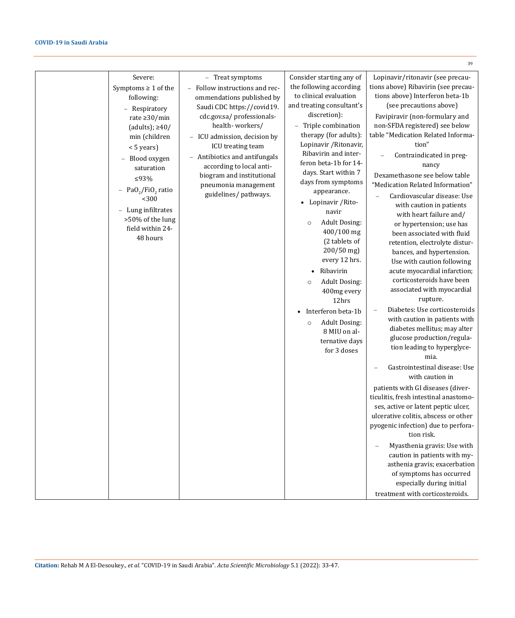|                                                                                                                                                                                                                                                                                                                           |                                                                                                                                                                                                                                                                                                                                                                |                                                                                                                                                                                                                                                                                                                                                                                                                                                                                                                                                                                                                                                     | 39                                                                                                                                                                                                                                                                                                                                                                                                                                                                                                                                                                                                                                                                                                                                                                                                                                                                                                                                                                                                                                                                                                                                                                                                                                                                                                                                                                                          |
|---------------------------------------------------------------------------------------------------------------------------------------------------------------------------------------------------------------------------------------------------------------------------------------------------------------------------|----------------------------------------------------------------------------------------------------------------------------------------------------------------------------------------------------------------------------------------------------------------------------------------------------------------------------------------------------------------|-----------------------------------------------------------------------------------------------------------------------------------------------------------------------------------------------------------------------------------------------------------------------------------------------------------------------------------------------------------------------------------------------------------------------------------------------------------------------------------------------------------------------------------------------------------------------------------------------------------------------------------------------------|---------------------------------------------------------------------------------------------------------------------------------------------------------------------------------------------------------------------------------------------------------------------------------------------------------------------------------------------------------------------------------------------------------------------------------------------------------------------------------------------------------------------------------------------------------------------------------------------------------------------------------------------------------------------------------------------------------------------------------------------------------------------------------------------------------------------------------------------------------------------------------------------------------------------------------------------------------------------------------------------------------------------------------------------------------------------------------------------------------------------------------------------------------------------------------------------------------------------------------------------------------------------------------------------------------------------------------------------------------------------------------------------|
| Severe:<br>Symptoms $\geq 1$ of the<br>following:<br>- Respiratory<br>rate $\geq$ 30/min<br>(adults); $\geq 40/$<br>min (children<br>< 5 years)<br>Blood oxygen<br>$\equiv$<br>saturation<br>$≤93%$<br>$PaO_2/FiO_2$ ratio<br>$\equiv$<br>$300$<br>- Lung infiltrates<br>>50% of the lung<br>field within 24-<br>48 hours | - Treat symptoms<br>- Follow instructions and rec-<br>ommendations published by<br>Saudi CDC https://covid19.<br>cdc.gov.sa/ professionals-<br>health-workers/<br>- ICU admission, decision by<br>ICU treating team<br>- Antibiotics and antifungals<br>according to local anti-<br>biogram and institutional<br>pneumonia management<br>guidelines/ pathways. | Consider starting any of<br>the following according<br>to clinical evaluation<br>and treating consultant's<br>discretion):<br>- Triple combination<br>therapy (for adults):<br>Lopinavir / Ritonavir,<br>Ribavirin and inter-<br>feron beta-1b for 14-<br>days. Start within 7<br>days from symptoms<br>appearance.<br>• Lopinavir / Rito-<br>navir<br><b>Adult Dosing:</b><br>$\circ$<br>400/100 mg<br>(2 tablets of<br>200/50 mg)<br>every 12 hrs.<br>Ribavirin<br><b>Adult Dosing:</b><br>$\circ$<br>400mg every<br>12hrs<br>Interferon beta-1b<br>$\bullet$<br><b>Adult Dosing:</b><br>$\circ$<br>8 MIU on al-<br>ternative days<br>for 3 doses | Lopinavir/ritonavir (see precau-<br>tions above) Ribavirin (see precau-<br>tions above) Interferon beta-1b<br>(see precautions above)<br>Favipiravir (non-formulary and<br>non-SFDA registered) see below<br>table "Medication Related Informa-<br>tion"<br>Contraindicated in preg-<br>nancy<br>Dexamethasone see below table<br>"Medication Related Information"<br>Cardiovascular disease: Use<br>with caution in patients<br>with heart failure and/<br>or hypertension; use has<br>been associated with fluid<br>retention, electrolyte distur-<br>bances, and hypertension.<br>Use with caution following<br>acute myocardial infarction;<br>corticosteroids have been<br>associated with myocardial<br>rupture.<br>Diabetes: Use corticosteroids<br>$\overline{\phantom{0}}$<br>with caution in patients with<br>diabetes mellitus; may alter<br>glucose production/regula-<br>tion leading to hyperglyce-<br>mia.<br>Gastrointestinal disease: Use<br>with caution in<br>patients with GI diseases (diver-<br>ticulitis, fresh intestinal anastomo-<br>ses, active or latent peptic ulcer,<br>ulcerative colitis, abscess or other<br>pyogenic infection) due to perfora-<br>tion risk.<br>Myasthenia gravis: Use with<br>caution in patients with my-<br>asthenia gravis; exacerbation<br>of symptoms has occurred<br>especially during initial<br>treatment with corticosteroids. |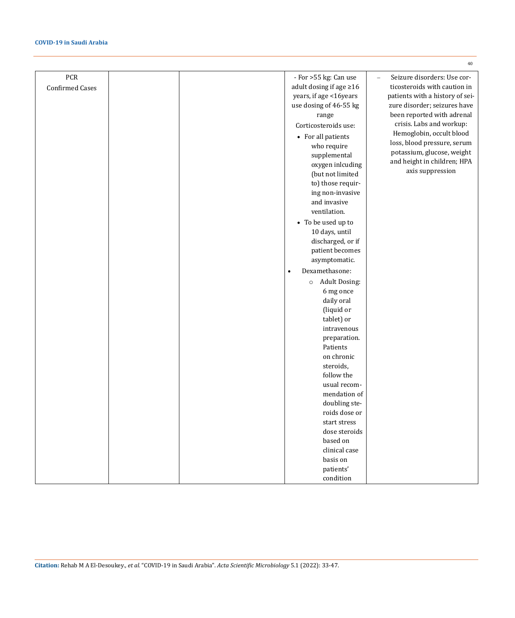|                        |  |                                 | 40                                      |
|------------------------|--|---------------------------------|-----------------------------------------|
| PCR                    |  | - For >55 kg: Can use           | Seizure disorders: Use cor-<br>$\equiv$ |
| <b>Confirmed Cases</b> |  | adult dosing if age $\geq 16$   | ticosteroids with caution in            |
|                        |  | years, if age <16years          | patients with a history of sei-         |
|                        |  | use dosing of 46-55 kg          | zure disorder; seizures have            |
|                        |  | range                           | been reported with adrenal              |
|                        |  | Corticosteroids use:            | crisis. Labs and workup:                |
|                        |  | • For all patients              | Hemoglobin, occult blood                |
|                        |  | who require                     | loss, blood pressure, serum             |
|                        |  | supplemental                    | potassium, glucose, weight              |
|                        |  | oxygen inlcuding                | and height in children; HPA             |
|                        |  | (but not limited                | axis suppression                        |
|                        |  | to) those requir-               |                                         |
|                        |  | ing non-invasive                |                                         |
|                        |  | and invasive                    |                                         |
|                        |  | ventilation.                    |                                         |
|                        |  | • To be used up to              |                                         |
|                        |  | 10 days, until                  |                                         |
|                        |  | discharged, or if               |                                         |
|                        |  | patient becomes                 |                                         |
|                        |  | asymptomatic.                   |                                         |
|                        |  | Dexamethasone:<br>$\bullet$     |                                         |
|                        |  | <b>Adult Dosing:</b><br>$\circ$ |                                         |
|                        |  | 6 mg once                       |                                         |
|                        |  | daily oral                      |                                         |
|                        |  | (liquid or                      |                                         |
|                        |  | tablet) or                      |                                         |
|                        |  | intravenous                     |                                         |
|                        |  | preparation.                    |                                         |
|                        |  | Patients                        |                                         |
|                        |  | on chronic                      |                                         |
|                        |  | steroids,                       |                                         |
|                        |  | follow the                      |                                         |
|                        |  | usual recom-                    |                                         |
|                        |  | mendation of                    |                                         |
|                        |  | doubling ste-                   |                                         |
|                        |  | roids dose or                   |                                         |
|                        |  | start stress                    |                                         |
|                        |  | dose steroids                   |                                         |
|                        |  | based on                        |                                         |
|                        |  | clinical case                   |                                         |
|                        |  | basis on                        |                                         |
|                        |  | patients'                       |                                         |
|                        |  | condition                       |                                         |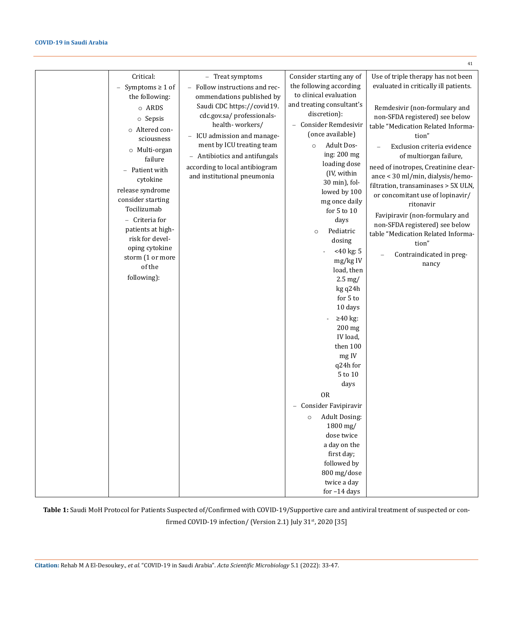| Use of triple therapy has not been<br>Critical:<br>- Treat symptoms<br>Consider starting any of<br>evaluated in critically ill patients.<br>the following according<br>Symptoms $\geq 1$ of<br>Follow instructions and rec-<br>to clinical evaluation<br>ommendations published by<br>the following:<br>and treating consultant's<br>Saudi CDC https://covid19.<br>o ARDS<br>Remdesivir (non-formulary and<br>discretion):<br>cdc.gov.sa/professionals-<br>non-SFDA registered) see below<br>o Sepsis<br>health-workers/<br>- Consider Remdesivir<br>table "Medication Related Informa-<br>o Altered con-<br>(once available)<br>tion"<br>ICU admission and manage-<br>sciousness<br>ment by ICU treating team<br>Adult Dos-<br>$\circ$<br>Exclusion criteria evidence<br>o Multi-organ<br>ing: 200 mg<br>Antibiotics and antifungals<br>of multiorgan failure,<br>failure<br>loading dose<br>according to local antibiogram<br>need of inotropes, Creatinine clear-<br>- Patient with<br>(IV, within<br>ance < 30 ml/min, dialysis/hemo-<br>and institutional pneumonia<br>cytokine<br>30 min), fol-<br>filtration, transaminases > 5X ULN,<br>release syndrome<br>lowed by 100<br>or concomitant use of lopinavir/<br>consider starting<br>mg once daily<br>ritonavir<br>Tocilizumab<br>for $5$ to $10$<br>Favipiravir (non-formulary and<br>- Criteria for<br>days<br>non-SFDA registered) see below<br>patients at high-<br>Pediatric<br>$\circ$<br>table "Medication Related Informa-<br>risk for devel-<br>dosing<br>tion"<br>oping cytokine<br>$<$ 40 kg: 5<br>Contraindicated in preg-<br>$\qquad \qquad -$<br>storm (1 or more<br>mg/kg IV<br>nancy<br>of the<br>load, then<br>following):<br>$2.5 \text{ mg}$<br>kg q24h<br>for 5 to<br>10 days<br>$\geq 40$ kg:<br>200 mg<br>IV load,<br>then 100<br>mg IV<br>q24h for<br>$5$ to $10\,$<br>days<br><b>OR</b><br>Consider Favipiravir<br>$\equiv$<br><b>Adult Dosing:</b><br>$\circ$<br>1800 mg/<br>dose twice<br>a day on the<br>first day;<br>followed by<br>800 mg/dose<br>twice a day<br>for $-14$ days |  |  |  |
|-----------------------------------------------------------------------------------------------------------------------------------------------------------------------------------------------------------------------------------------------------------------------------------------------------------------------------------------------------------------------------------------------------------------------------------------------------------------------------------------------------------------------------------------------------------------------------------------------------------------------------------------------------------------------------------------------------------------------------------------------------------------------------------------------------------------------------------------------------------------------------------------------------------------------------------------------------------------------------------------------------------------------------------------------------------------------------------------------------------------------------------------------------------------------------------------------------------------------------------------------------------------------------------------------------------------------------------------------------------------------------------------------------------------------------------------------------------------------------------------------------------------------------------------------------------------------------------------------------------------------------------------------------------------------------------------------------------------------------------------------------------------------------------------------------------------------------------------------------------------------------------------------------------------------------------------------------------------------------------------------------------------------------------------------------------------------|--|--|--|
|                                                                                                                                                                                                                                                                                                                                                                                                                                                                                                                                                                                                                                                                                                                                                                                                                                                                                                                                                                                                                                                                                                                                                                                                                                                                                                                                                                                                                                                                                                                                                                                                                                                                                                                                                                                                                                                                                                                                                                                                                                                                       |  |  |  |
|                                                                                                                                                                                                                                                                                                                                                                                                                                                                                                                                                                                                                                                                                                                                                                                                                                                                                                                                                                                                                                                                                                                                                                                                                                                                                                                                                                                                                                                                                                                                                                                                                                                                                                                                                                                                                                                                                                                                                                                                                                                                       |  |  |  |
|                                                                                                                                                                                                                                                                                                                                                                                                                                                                                                                                                                                                                                                                                                                                                                                                                                                                                                                                                                                                                                                                                                                                                                                                                                                                                                                                                                                                                                                                                                                                                                                                                                                                                                                                                                                                                                                                                                                                                                                                                                                                       |  |  |  |
|                                                                                                                                                                                                                                                                                                                                                                                                                                                                                                                                                                                                                                                                                                                                                                                                                                                                                                                                                                                                                                                                                                                                                                                                                                                                                                                                                                                                                                                                                                                                                                                                                                                                                                                                                                                                                                                                                                                                                                                                                                                                       |  |  |  |
|                                                                                                                                                                                                                                                                                                                                                                                                                                                                                                                                                                                                                                                                                                                                                                                                                                                                                                                                                                                                                                                                                                                                                                                                                                                                                                                                                                                                                                                                                                                                                                                                                                                                                                                                                                                                                                                                                                                                                                                                                                                                       |  |  |  |
|                                                                                                                                                                                                                                                                                                                                                                                                                                                                                                                                                                                                                                                                                                                                                                                                                                                                                                                                                                                                                                                                                                                                                                                                                                                                                                                                                                                                                                                                                                                                                                                                                                                                                                                                                                                                                                                                                                                                                                                                                                                                       |  |  |  |
|                                                                                                                                                                                                                                                                                                                                                                                                                                                                                                                                                                                                                                                                                                                                                                                                                                                                                                                                                                                                                                                                                                                                                                                                                                                                                                                                                                                                                                                                                                                                                                                                                                                                                                                                                                                                                                                                                                                                                                                                                                                                       |  |  |  |
|                                                                                                                                                                                                                                                                                                                                                                                                                                                                                                                                                                                                                                                                                                                                                                                                                                                                                                                                                                                                                                                                                                                                                                                                                                                                                                                                                                                                                                                                                                                                                                                                                                                                                                                                                                                                                                                                                                                                                                                                                                                                       |  |  |  |
|                                                                                                                                                                                                                                                                                                                                                                                                                                                                                                                                                                                                                                                                                                                                                                                                                                                                                                                                                                                                                                                                                                                                                                                                                                                                                                                                                                                                                                                                                                                                                                                                                                                                                                                                                                                                                                                                                                                                                                                                                                                                       |  |  |  |
|                                                                                                                                                                                                                                                                                                                                                                                                                                                                                                                                                                                                                                                                                                                                                                                                                                                                                                                                                                                                                                                                                                                                                                                                                                                                                                                                                                                                                                                                                                                                                                                                                                                                                                                                                                                                                                                                                                                                                                                                                                                                       |  |  |  |
|                                                                                                                                                                                                                                                                                                                                                                                                                                                                                                                                                                                                                                                                                                                                                                                                                                                                                                                                                                                                                                                                                                                                                                                                                                                                                                                                                                                                                                                                                                                                                                                                                                                                                                                                                                                                                                                                                                                                                                                                                                                                       |  |  |  |
|                                                                                                                                                                                                                                                                                                                                                                                                                                                                                                                                                                                                                                                                                                                                                                                                                                                                                                                                                                                                                                                                                                                                                                                                                                                                                                                                                                                                                                                                                                                                                                                                                                                                                                                                                                                                                                                                                                                                                                                                                                                                       |  |  |  |
|                                                                                                                                                                                                                                                                                                                                                                                                                                                                                                                                                                                                                                                                                                                                                                                                                                                                                                                                                                                                                                                                                                                                                                                                                                                                                                                                                                                                                                                                                                                                                                                                                                                                                                                                                                                                                                                                                                                                                                                                                                                                       |  |  |  |
|                                                                                                                                                                                                                                                                                                                                                                                                                                                                                                                                                                                                                                                                                                                                                                                                                                                                                                                                                                                                                                                                                                                                                                                                                                                                                                                                                                                                                                                                                                                                                                                                                                                                                                                                                                                                                                                                                                                                                                                                                                                                       |  |  |  |
|                                                                                                                                                                                                                                                                                                                                                                                                                                                                                                                                                                                                                                                                                                                                                                                                                                                                                                                                                                                                                                                                                                                                                                                                                                                                                                                                                                                                                                                                                                                                                                                                                                                                                                                                                                                                                                                                                                                                                                                                                                                                       |  |  |  |
|                                                                                                                                                                                                                                                                                                                                                                                                                                                                                                                                                                                                                                                                                                                                                                                                                                                                                                                                                                                                                                                                                                                                                                                                                                                                                                                                                                                                                                                                                                                                                                                                                                                                                                                                                                                                                                                                                                                                                                                                                                                                       |  |  |  |
|                                                                                                                                                                                                                                                                                                                                                                                                                                                                                                                                                                                                                                                                                                                                                                                                                                                                                                                                                                                                                                                                                                                                                                                                                                                                                                                                                                                                                                                                                                                                                                                                                                                                                                                                                                                                                                                                                                                                                                                                                                                                       |  |  |  |
|                                                                                                                                                                                                                                                                                                                                                                                                                                                                                                                                                                                                                                                                                                                                                                                                                                                                                                                                                                                                                                                                                                                                                                                                                                                                                                                                                                                                                                                                                                                                                                                                                                                                                                                                                                                                                                                                                                                                                                                                                                                                       |  |  |  |
|                                                                                                                                                                                                                                                                                                                                                                                                                                                                                                                                                                                                                                                                                                                                                                                                                                                                                                                                                                                                                                                                                                                                                                                                                                                                                                                                                                                                                                                                                                                                                                                                                                                                                                                                                                                                                                                                                                                                                                                                                                                                       |  |  |  |
|                                                                                                                                                                                                                                                                                                                                                                                                                                                                                                                                                                                                                                                                                                                                                                                                                                                                                                                                                                                                                                                                                                                                                                                                                                                                                                                                                                                                                                                                                                                                                                                                                                                                                                                                                                                                                                                                                                                                                                                                                                                                       |  |  |  |
|                                                                                                                                                                                                                                                                                                                                                                                                                                                                                                                                                                                                                                                                                                                                                                                                                                                                                                                                                                                                                                                                                                                                                                                                                                                                                                                                                                                                                                                                                                                                                                                                                                                                                                                                                                                                                                                                                                                                                                                                                                                                       |  |  |  |
|                                                                                                                                                                                                                                                                                                                                                                                                                                                                                                                                                                                                                                                                                                                                                                                                                                                                                                                                                                                                                                                                                                                                                                                                                                                                                                                                                                                                                                                                                                                                                                                                                                                                                                                                                                                                                                                                                                                                                                                                                                                                       |  |  |  |
|                                                                                                                                                                                                                                                                                                                                                                                                                                                                                                                                                                                                                                                                                                                                                                                                                                                                                                                                                                                                                                                                                                                                                                                                                                                                                                                                                                                                                                                                                                                                                                                                                                                                                                                                                                                                                                                                                                                                                                                                                                                                       |  |  |  |
|                                                                                                                                                                                                                                                                                                                                                                                                                                                                                                                                                                                                                                                                                                                                                                                                                                                                                                                                                                                                                                                                                                                                                                                                                                                                                                                                                                                                                                                                                                                                                                                                                                                                                                                                                                                                                                                                                                                                                                                                                                                                       |  |  |  |
|                                                                                                                                                                                                                                                                                                                                                                                                                                                                                                                                                                                                                                                                                                                                                                                                                                                                                                                                                                                                                                                                                                                                                                                                                                                                                                                                                                                                                                                                                                                                                                                                                                                                                                                                                                                                                                                                                                                                                                                                                                                                       |  |  |  |
|                                                                                                                                                                                                                                                                                                                                                                                                                                                                                                                                                                                                                                                                                                                                                                                                                                                                                                                                                                                                                                                                                                                                                                                                                                                                                                                                                                                                                                                                                                                                                                                                                                                                                                                                                                                                                                                                                                                                                                                                                                                                       |  |  |  |
|                                                                                                                                                                                                                                                                                                                                                                                                                                                                                                                                                                                                                                                                                                                                                                                                                                                                                                                                                                                                                                                                                                                                                                                                                                                                                                                                                                                                                                                                                                                                                                                                                                                                                                                                                                                                                                                                                                                                                                                                                                                                       |  |  |  |
|                                                                                                                                                                                                                                                                                                                                                                                                                                                                                                                                                                                                                                                                                                                                                                                                                                                                                                                                                                                                                                                                                                                                                                                                                                                                                                                                                                                                                                                                                                                                                                                                                                                                                                                                                                                                                                                                                                                                                                                                                                                                       |  |  |  |
|                                                                                                                                                                                                                                                                                                                                                                                                                                                                                                                                                                                                                                                                                                                                                                                                                                                                                                                                                                                                                                                                                                                                                                                                                                                                                                                                                                                                                                                                                                                                                                                                                                                                                                                                                                                                                                                                                                                                                                                                                                                                       |  |  |  |
|                                                                                                                                                                                                                                                                                                                                                                                                                                                                                                                                                                                                                                                                                                                                                                                                                                                                                                                                                                                                                                                                                                                                                                                                                                                                                                                                                                                                                                                                                                                                                                                                                                                                                                                                                                                                                                                                                                                                                                                                                                                                       |  |  |  |
|                                                                                                                                                                                                                                                                                                                                                                                                                                                                                                                                                                                                                                                                                                                                                                                                                                                                                                                                                                                                                                                                                                                                                                                                                                                                                                                                                                                                                                                                                                                                                                                                                                                                                                                                                                                                                                                                                                                                                                                                                                                                       |  |  |  |
|                                                                                                                                                                                                                                                                                                                                                                                                                                                                                                                                                                                                                                                                                                                                                                                                                                                                                                                                                                                                                                                                                                                                                                                                                                                                                                                                                                                                                                                                                                                                                                                                                                                                                                                                                                                                                                                                                                                                                                                                                                                                       |  |  |  |
|                                                                                                                                                                                                                                                                                                                                                                                                                                                                                                                                                                                                                                                                                                                                                                                                                                                                                                                                                                                                                                                                                                                                                                                                                                                                                                                                                                                                                                                                                                                                                                                                                                                                                                                                                                                                                                                                                                                                                                                                                                                                       |  |  |  |
|                                                                                                                                                                                                                                                                                                                                                                                                                                                                                                                                                                                                                                                                                                                                                                                                                                                                                                                                                                                                                                                                                                                                                                                                                                                                                                                                                                                                                                                                                                                                                                                                                                                                                                                                                                                                                                                                                                                                                                                                                                                                       |  |  |  |
|                                                                                                                                                                                                                                                                                                                                                                                                                                                                                                                                                                                                                                                                                                                                                                                                                                                                                                                                                                                                                                                                                                                                                                                                                                                                                                                                                                                                                                                                                                                                                                                                                                                                                                                                                                                                                                                                                                                                                                                                                                                                       |  |  |  |
|                                                                                                                                                                                                                                                                                                                                                                                                                                                                                                                                                                                                                                                                                                                                                                                                                                                                                                                                                                                                                                                                                                                                                                                                                                                                                                                                                                                                                                                                                                                                                                                                                                                                                                                                                                                                                                                                                                                                                                                                                                                                       |  |  |  |
|                                                                                                                                                                                                                                                                                                                                                                                                                                                                                                                                                                                                                                                                                                                                                                                                                                                                                                                                                                                                                                                                                                                                                                                                                                                                                                                                                                                                                                                                                                                                                                                                                                                                                                                                                                                                                                                                                                                                                                                                                                                                       |  |  |  |
|                                                                                                                                                                                                                                                                                                                                                                                                                                                                                                                                                                                                                                                                                                                                                                                                                                                                                                                                                                                                                                                                                                                                                                                                                                                                                                                                                                                                                                                                                                                                                                                                                                                                                                                                                                                                                                                                                                                                                                                                                                                                       |  |  |  |
|                                                                                                                                                                                                                                                                                                                                                                                                                                                                                                                                                                                                                                                                                                                                                                                                                                                                                                                                                                                                                                                                                                                                                                                                                                                                                                                                                                                                                                                                                                                                                                                                                                                                                                                                                                                                                                                                                                                                                                                                                                                                       |  |  |  |
|                                                                                                                                                                                                                                                                                                                                                                                                                                                                                                                                                                                                                                                                                                                                                                                                                                                                                                                                                                                                                                                                                                                                                                                                                                                                                                                                                                                                                                                                                                                                                                                                                                                                                                                                                                                                                                                                                                                                                                                                                                                                       |  |  |  |
|                                                                                                                                                                                                                                                                                                                                                                                                                                                                                                                                                                                                                                                                                                                                                                                                                                                                                                                                                                                                                                                                                                                                                                                                                                                                                                                                                                                                                                                                                                                                                                                                                                                                                                                                                                                                                                                                                                                                                                                                                                                                       |  |  |  |
|                                                                                                                                                                                                                                                                                                                                                                                                                                                                                                                                                                                                                                                                                                                                                                                                                                                                                                                                                                                                                                                                                                                                                                                                                                                                                                                                                                                                                                                                                                                                                                                                                                                                                                                                                                                                                                                                                                                                                                                                                                                                       |  |  |  |
|                                                                                                                                                                                                                                                                                                                                                                                                                                                                                                                                                                                                                                                                                                                                                                                                                                                                                                                                                                                                                                                                                                                                                                                                                                                                                                                                                                                                                                                                                                                                                                                                                                                                                                                                                                                                                                                                                                                                                                                                                                                                       |  |  |  |

**Table 1:** Saudi MoH Protocol for Patients Suspected of/Confirmed with COVID-19/Supportive care and antiviral treatment of suspected or confirmed COVID-19 infection/ (Version 2.1) July 31<sup>st</sup>, 2020 [35]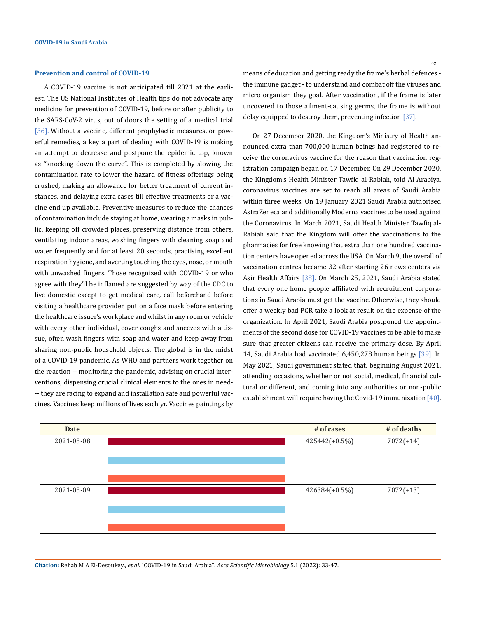### **Prevention and control of COVID-19**

A COVID-19 vaccine is not anticipated till 2021 at the earliest. The US National Institutes of Health tips do not advocate any medicine for prevention of COVID-19, before or after publicity to the SARS-CoV-2 virus, out of doors the setting of a medical trial [36]. Without a vaccine, different prophylactic measures, or powerful remedies, a key a part of dealing with COVID-19 is making an attempt to decrease and postpone the epidemic top, known as "knocking down the curve". This is completed by slowing the contamination rate to lower the hazard of fitness offerings being crushed, making an allowance for better treatment of current instances, and delaying extra cases till effective treatments or a vaccine end up available. Preventive measures to reduce the chances of contamination include staying at home, wearing a masks in public, keeping off crowded places, preserving distance from others, ventilating indoor areas, washing fingers with cleaning soap and water frequently and for at least 20 seconds, practising excellent respiration hygiene, and averting touching the eyes, nose, or mouth with unwashed fingers. Those recognized with COVID-19 or who agree with they'll be inflamed are suggested by way of the CDC to live domestic except to get medical care, call beforehand before visiting a healthcare provider, put on a face mask before entering the healthcare issuer's workplace and whilst in any room or vehicle with every other individual, cover coughs and sneezes with a tissue, often wash fingers with soap and water and keep away from sharing non-public household objects. The global is in the midst of a COVID-19 pandemic. As WHO and partners work together on the reaction -- monitoring the pandemic, advising on crucial interventions, dispensing crucial clinical elements to the ones in need- -- they are racing to expand and installation safe and powerful vaccines. Vaccines keep millions of lives each yr. Vaccines paintings by

42

means of education and getting ready the frame's herbal defences the immune gadget - to understand and combat off the viruses and micro organism they goal. After vaccination, if the frame is later uncovered to those ailment-causing germs, the frame is without delay equipped to destroy them, preventing infection [37].

On 27 December 2020, the Kingdom's Ministry of Health announced extra than 700,000 human beings had registered to receive the coronavirus vaccine for the reason that vaccination registration campaign began on 17 December. On 29 December 2020, the Kingdom's Health Minister Tawfiq al-Rabiah, told Al Arabiya, coronavirus vaccines are set to reach all areas of Saudi Arabia within three weeks. On 19 January 2021 Saudi Arabia authorised AstraZeneca and additionally Moderna vaccines to be used against the Coronavirus. In March 2021, Saudi Health Minister Tawfiq al-Rabiah said that the Kingdom will offer the vaccinations to the pharmacies for free knowing that extra than one hundred vaccination centers have opened across the USA. On March 9, the overall of vaccination centres became 32 after starting 26 news centers via Asir Health Affairs [38]. On March 25, 2021, Saudi Arabia stated that every one home people affiliated with recruitment corporations in Saudi Arabia must get the vaccine. Otherwise, they should offer a weekly bad PCR take a look at result on the expense of the organization. In April 2021, Saudi Arabia postponed the appointments of the second dose for COVID-19 vaccines to be able to make sure that greater citizens can receive the primary dose. By April 14, Saudi Arabia had vaccinated 6,450,278 human beings [39]. In May 2021, Saudi government stated that, beginning August 2021, attending occasions, whether or not social, medical, financial cultural or different, and coming into any authorities or non-public establishment will require having the Covid-19 immunization [40].

| <b>Date</b> | # of cases    | # of deaths |
|-------------|---------------|-------------|
| 2021-05-08  | 425442(+0.5%) | $7072(+14)$ |
|             |               |             |
| 2021-05-09  | 426384(+0.5%) | $7072(+13)$ |
|             |               |             |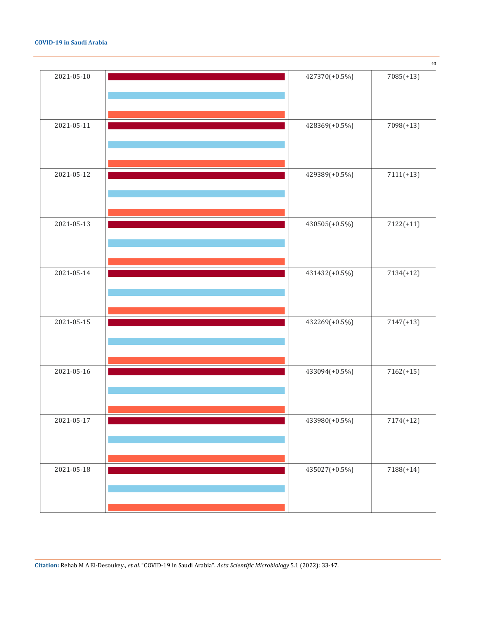

|                  |                  | $\overline{4}$ |
|------------------|------------------|----------------|
| 2021-05-10       | 427370(+0.5%)    | $7085(+13)$    |
| 2021-05-11       | 428369(+0.5%)    | $7098(+13)$    |
| 2021-05-12       | 429389(+0.5%)    | $7111(+13)$    |
| 2021-05-13       | 430505(+0.5%)    | $7122(+11)$    |
| 2021-05-14       | 431432(+0.5%)    | $7134(+12)$    |
| 2021-05-15       | 432269(+0.5%)    | $7147 (+13)$   |
| 2021-05-16       | 433094(+0.5%)    | $7162(+15)$    |
| 2021-05-17       | 433980(+0.5%)    | $7174(+12)$    |
| $2021 - 05 - 18$ | $435027(+0.5\%)$ | $7188(+14)$    |

**Citation:** Rehab M A El-Desoukey*., et al.* "COVID-19 in Saudi Arabia". *Acta Scientific Microbiology* 5.1 (2022): 33-47.

43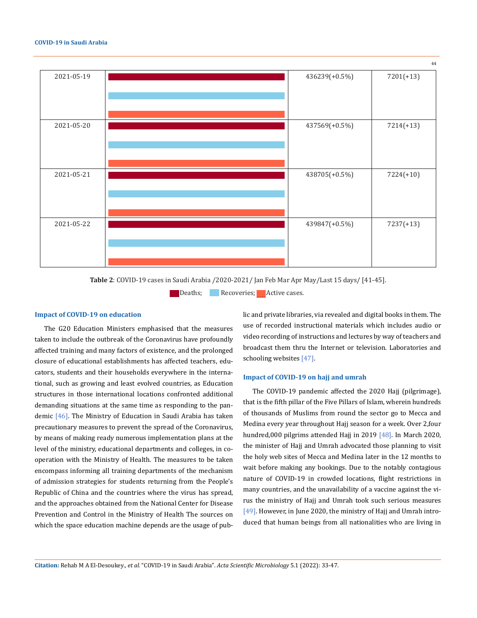

**Table 2**: COVID-19 cases in Saudi Arabia /2020-2021/ Jan Feb Mar Apr May/Last 15 days/ [41-45].

**Deaths;** Recoveries; Active cases.

## **Impact of COVID-19 on education**

The G20 Education Ministers emphasised that the measures taken to include the outbreak of the Coronavirus have profoundly affected training and many factors of existence, and the prolonged closure of educational establishments has affected teachers, educators, students and their households everywhere in the international, such as growing and least evolved countries, as Education structures in those international locations confronted additional demanding situations at the same time as responding to the pandemic <a>[46]</a>. The Ministry of Education in Saudi Arabia has taken precautionary measures to prevent the spread of the Coronavirus, by means of making ready numerous implementation plans at the level of the ministry, educational departments and colleges, in cooperation with the Ministry of Health. The measures to be taken encompass informing all training departments of the mechanism of admission strategies for students returning from the People's Republic of China and the countries where the virus has spread, and the approaches obtained from the National Center for Disease Prevention and Control in the Ministry of Health The sources on which the space education machine depends are the usage of public and private libraries, via revealed and digital books in them. The use of recorded instructional materials which includes audio or video recording of instructions and lectures by way of teachers and broadcast them thru the Internet or television. Laboratories and schooling websites [47].

# **Impact of COVID-19 on hajj and umrah**

The COVID-19 pandemic affected the 2020 Hajj (pilgrimage), that is the fifth pillar of the Five Pillars of Islam, wherein hundreds of thousands of Muslims from round the sector go to Mecca and Medina every year throughout Hajj season for a week. Over 2,four hundred,000 pilgrims attended Hajj in 2019 [48]. In March 2020, the minister of Hajj and Umrah advocated those planning to visit the holy web sites of Mecca and Medina later in the 12 months to wait before making any bookings. Due to the notably contagious nature of COVID-19 in crowded locations, flight restrictions in many countries, and the unavailability of a vaccine against the virus the ministry of Hajj and Umrah took such serious measures [49]. However, in June 2020, the ministry of Hajj and Umrah introduced that human beings from all nationalities who are living in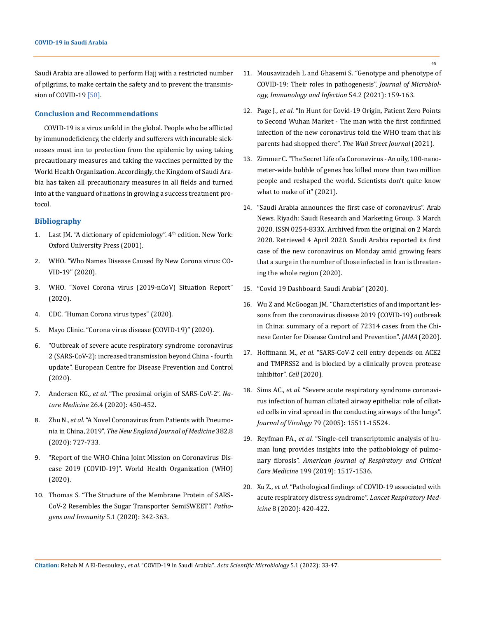Saudi Arabia are allowed to perform Hajj with a restricted number of pilgrims, to make certain the safety and to prevent the transmission of COVID-19<sup>[50]</sup>.

### **Conclusion and Recommendations**

COVID-19 is a virus unfold in the global. People who be afflicted by immunodeficiency, the elderly and sufferers with incurable sicknesses must inn to protection from the epidemic by using taking precautionary measures and taking the vaccines permitted by the World Health Organization. Accordingly, the Kingdom of Saudi Arabia has taken all precautionary measures in all fields and turned into at the vanguard of nations in growing a success treatment protocol.

### **Bibliography**

- 1. Last JM. "A dictionary of epidemiology".  $4<sup>th</sup>$  edition. New York: Oxford University Press (2001).
- 2. WHO. "Who Names Disease Caused By New Corona virus: CO-VID-19" (2020).
- 3. WHO. "Novel Corona virus (2019-nCoV) Situation Report" (2020).
- 4. [CDC. "Human Corona virus types" \(2020\).](https://www.cdc.gov/coronavirus/types.html)
- 5. [Mayo Clinic. "Corona virus disease \(COVID-19\)" \(2020\).](https://www.mayoclinic.org/diseases-conditions/coronavirus/symptomscauses/syc-20479963)
- 6. "Outbreak of severe acute respiratory syndrome coronavirus 2 (SARS-CoV-2): increased transmission beyond China - fourth update". European Centre for Disease Prevention and Control (2020).
- 7. Andersen KG., *et al*[. "The proximal origin of SARS-CoV-2".](https://pubmed.ncbi.nlm.nih.gov/32284615/) *Nature Medicine* [26.4 \(2020\): 450-452.](https://pubmed.ncbi.nlm.nih.gov/32284615/)
- 8. Zhu N., *et al*[. "A Novel Coronavirus from Patients with Pneumo](https://www.nejm.org/doi/full/10.1056/nejmoa2001017)nia in China, 2019". *[The New England Journal of Medicine](https://www.nejm.org/doi/full/10.1056/nejmoa2001017)* 382.8 [\(2020\): 727-733.](https://www.nejm.org/doi/full/10.1056/nejmoa2001017)
- 9. "Report of the WHO-China Joint Mission on Coronavirus Disease 2019 (COVID-19)". World Health Organization (WHO) (2020).
- 10. [Thomas S. "The Structure of the Membrane Protein of SARS-](https://pubmed.ncbi.nlm.nih.gov/33154981/)[CoV-2 Resembles the Sugar Transporter SemiSWEET".](https://pubmed.ncbi.nlm.nih.gov/33154981/) *Patho[gens and Immunity](https://pubmed.ncbi.nlm.nih.gov/33154981/)* 5.1 (2020): 342-363.
- 11. [Mousavizadeh L and Ghasemi S. "Genotype and phenotype of](https://pubmed.ncbi.nlm.nih.gov/32265180/)  [COVID-19: Their roles in pathogenesis".](https://pubmed.ncbi.nlm.nih.gov/32265180/) *Journal of Microbiol[ogy, Immunology and Infection](https://pubmed.ncbi.nlm.nih.gov/32265180/)* 54.2 (2021): 159-163.
- 12. Page J., *et al*. "In Hunt for Covid-19 Origin, Patient Zero Points to Second Wuhan Market - The man with the first confirmed infection of the new coronavirus told the WHO team that his parents had shopped there". *The Wall Street Journal* (2021).
- 13. [Zimmer C. "The Secret Life of a Coronavirus An oily, 100-nano](https://www.nytimes.com/2021/02/26/opinion/sunday/coronavirus-alive-dead.html)[meter-wide bubble of genes has killed more than two million](https://www.nytimes.com/2021/02/26/opinion/sunday/coronavirus-alive-dead.html)  [people and reshaped the world. Scientists don't quite know](https://www.nytimes.com/2021/02/26/opinion/sunday/coronavirus-alive-dead.html)  [what to make of it" \(2021\).](https://www.nytimes.com/2021/02/26/opinion/sunday/coronavirus-alive-dead.html)
- 14. "Saudi Arabia announces the first case of coronavirus". Arab News. Riyadh: Saudi Research and Marketing Group. 3 March 2020. ISSN 0254-833X. Archived from the original on 2 March 2020. Retrieved 4 April 2020. Saudi Arabia reported its first case of the new coronavirus on Monday amid growing fears that a surge in the number of those infected in Iran is threatening the whole region (2020).
- 15. "Covid 19 Dashboard: Saudi Arabia" (2020).
- 16. [Wu Z and McGoogan JM. "Characteristics of and important les](https://doi.org/10.1001/jama.2020.2648)[sons from the coronavirus disease 2019 \(COVID-19\) outbreak](https://doi.org/10.1001/jama.2020.2648)  [in China: summary of a report of 72314 cases from the Chi](https://doi.org/10.1001/jama.2020.2648)[nese Center for Disease Control and Prevention".](https://doi.org/10.1001/jama.2020.2648) *JAMA* (2020).
- 17. Hoffmann M., *et al*[. "SARS-CoV-2 cell entry depends on ACE2](https://doi.org/10.1016/j.cell.2020.02.052)  [and TMPRSS2 and is blocked by a clinically proven protease](https://doi.org/10.1016/j.cell.2020.02.052)  [inhibitor".](https://doi.org/10.1016/j.cell.2020.02.052) *Cell* (2020).
- 18. Sims AC., *et al*. "Severe acute respiratory syndrome coronavirus infection of human ciliated airway epithelia: role of ciliated cells in viral spread in the conducting airways of the lungs". *Journal of Virology* 79 (2005): 15511-15524.
- 19. Reyfman PA., *et al*[. "Single-cell transcriptomic analysis of hu](https://pubmed.ncbi.nlm.nih.gov/30554520/)[man lung provides insights into the pathobiology of pulmo](https://pubmed.ncbi.nlm.nih.gov/30554520/)nary fibrosis". *[American Journal of Respiratory and Critical](https://pubmed.ncbi.nlm.nih.gov/30554520/)  Care Medicine* [199 \(2019\): 1517-1536.](https://pubmed.ncbi.nlm.nih.gov/30554520/)
- 20. Xu Z., *et al*[. "Pathological findings of COVID-19 associated with](https://pubmed.ncbi.nlm.nih.gov/32085846/)  [acute respiratory distress syndrome".](https://pubmed.ncbi.nlm.nih.gov/32085846/) *Lancet Respiratory Medicine* [8 \(2020\): 420-422.](https://pubmed.ncbi.nlm.nih.gov/32085846/)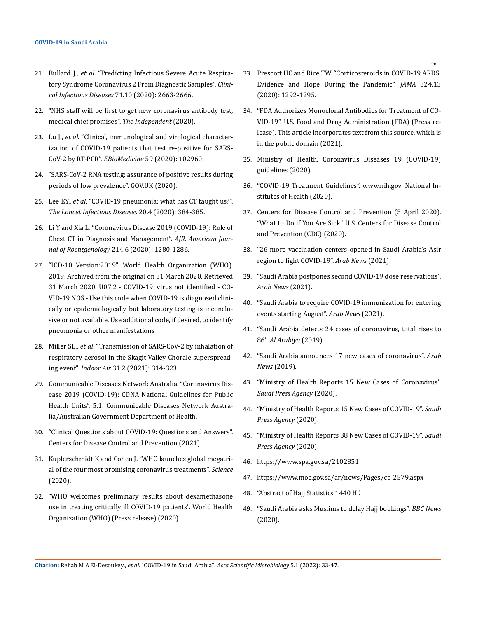- 21. Bullard J., *et al*[. "Predicting Infectious Severe Acute Respira](https://pubmed.ncbi.nlm.nih.gov/32442256/)[tory Syndrome Coronavirus 2 From Diagnostic Samples".](https://pubmed.ncbi.nlm.nih.gov/32442256/) *Clini[cal Infectious Diseases](https://pubmed.ncbi.nlm.nih.gov/32442256/)* 71.10 (2020): 2663-2666.
- 22. ["NHS staff will be first to get new coronavirus antibody test,](https://www.independent.co.uk/news/uk/home-news/coronavirus-test-antibody-covid-roche-immune-nhs-staff-a9515466.html)  [medical chief promises".](https://www.independent.co.uk/news/uk/home-news/coronavirus-test-antibody-covid-roche-immune-nhs-staff-a9515466.html) *The Independent* (2020).
- 23. Lu J., *et al*[. "Clinical, immunological and virological character](https://pubmed.ncbi.nlm.nih.gov/32853988/)[ization of COVID-19 patients that test re-positive for SARS-](https://pubmed.ncbi.nlm.nih.gov/32853988/)CoV-2 by RT-PCR". *EBioMedicine* [59 \(2020\): 102960.](https://pubmed.ncbi.nlm.nih.gov/32853988/)
- 24. "SARS-CoV-2 RNA testing: assurance of positive results during periods of low prevalence". GOV.UK (2020).
- 25. Lee EY., *et al*[. "COVID-19 pneumonia: what has CT taught us?".](https://pubmed.ncbi.nlm.nih.gov/32105641/)  *[The Lancet Infectious Diseases](https://pubmed.ncbi.nlm.nih.gov/32105641/)* 20.4 (2020): 384-385.
- 26. [Li Y and Xia L. "Coronavirus Disease 2019 \(COVID-19\): Role of](https://pubmed.ncbi.nlm.nih.gov/32130038/)  [Chest CT in Diagnosis and Management".](https://pubmed.ncbi.nlm.nih.gov/32130038/) *AJR. American Jour[nal of Roentgenology](https://pubmed.ncbi.nlm.nih.gov/32130038/)* 214.6 (2020): 1280-1286.
- 27. "ICD-10 Version:2019". World Health Organization (WHO). 2019. Archived from the original on 31 March 2020. Retrieved 31 March 2020. U07.2 - COVID-19, virus not identified - CO-VID-19 NOS - Use this code when COVID-19 is diagnosed clinically or epidemiologically but laboratory testing is inconclusive or not available. Use additional code, if desired, to identify pneumonia or other manifestations
- 28. Miller SL., *et al*[. "Transmission of SARS-CoV-2 by inhalation of](https://pubmed.ncbi.nlm.nih.gov/32979298/)  [respiratory aerosol in the Skagit Valley Chorale superspread](https://pubmed.ncbi.nlm.nih.gov/32979298/)ing event". *Indoor Air* [31.2 \(2021\): 314-323.](https://pubmed.ncbi.nlm.nih.gov/32979298/)
- 29. Communicable Diseases Network Australia. "Coronavirus Disease 2019 (COVID-19): CDNA National Guidelines for Public Health Units". 5.1. Communicable Diseases Network Australia/Australian Government Department of Health.
- 30. ["Clinical Questions about COVID-19: Questions and Answers".](https://www.cdc.gov/coronavirus/2019-ncov/hcp/faq.html)  [Centers for Disease Control and Prevention \(2021\).](https://www.cdc.gov/coronavirus/2019-ncov/hcp/faq.html)
- 31. [Kupferschmidt K and Cohen J. "WHO launches global megatri](https://www.science.org/content/article/who-launches-global-megatrial-four-most-promising-coronavirus-treatments)[al of the four most promising coronavirus treatments".](https://www.science.org/content/article/who-launches-global-megatrial-four-most-promising-coronavirus-treatments) *Science* [\(2020\).](https://www.science.org/content/article/who-launches-global-megatrial-four-most-promising-coronavirus-treatments)
- 32. ["WHO welcomes preliminary results about dexamethasone](https://www.who.int/news-room/detail/16-06-2020-who-welcomes-preliminary-results-about-dexamethasone-use-in-treating-critically-ill-covid-19-patients)  [use in treating critically ill COVID-19 patients". World Health](https://www.who.int/news-room/detail/16-06-2020-who-welcomes-preliminary-results-about-dexamethasone-use-in-treating-critically-ill-covid-19-patients)  [Organization \(WHO\) \(Press release\) \(2020\).](https://www.who.int/news-room/detail/16-06-2020-who-welcomes-preliminary-results-about-dexamethasone-use-in-treating-critically-ill-covid-19-patients)
- 33. [Prescott HC and Rice TW. "Corticosteroids in COVID-19 ARDS:](https://pubmed.ncbi.nlm.nih.gov/32876693/)  [Evidence and Hope During the Pandemic".](https://pubmed.ncbi.nlm.nih.gov/32876693/) *JAMA* 324.13 [\(2020\): 1292-1295.](https://pubmed.ncbi.nlm.nih.gov/32876693/)
- 34. "FDA Authorizes Monoclonal Antibodies for Treatment of CO-VID-19". U.S. Food and Drug Administration (FDA) (Press release). This article incorporates text from this source, which is in the public domain (2021).
- 35. Ministry of Health. Coronavirus Diseases 19 (COVID-19) guidelines (2020).
- 36. "COVID-19 Treatment Guidelines". www.nih.gov. National Institutes of Health (2020).
- 37. Centers for Disease Control and Prevention (5 April 2020). "What to Do if You Are Sick". U.S. Centers for Disease Control and Prevention (CDC) (2020).
- 38. ["26 more vaccination centers opened in Saudi Arabia's Asir](https://arab.news/jungj)  [region to fight COVID-19".](https://arab.news/jungj) *Arab News* (2021).
- 39. ["Saudi Arabia postpones second COVID-19 dose reservations".](https://arab.news/567xx) *[Arab News](https://arab.news/567xx)* (2021).
- 40. ["Saudi Arabia to require COVID-19 immunization for entering](https://arab.news/4u9b9)  [events starting August".](https://arab.news/4u9b9) *Arab News* (2021).
- 41. ["Saudi Arabia detects 24 cases of coronavirus, total rises to](https://english.alarabiya.net/en/News/gulf/2020/03/13/Saudi-Arabia-detects-24-cases-of-coronavirus-total-rises-to-86.html)  86". *[Al Arabiya](https://english.alarabiya.net/en/News/gulf/2020/03/13/Saudi-Arabia-detects-24-cases-of-coronavirus-total-rises-to-86.html)* (2019).
- 42. ["Saudi Arabia announces 17 new cases of coronavirus".](https://www.arabnews.com/node/1641471/saudi-arabia) *Arab News* [\(2019\).](https://www.arabnews.com/node/1641471/saudi-arabia)
- 43. "Ministry of Health Reports 15 New Cases of Coronavirus". *Saudi Press Agency* (2020).
- 44. "Ministry of Health Reports 15 New Cases of COVID-19". *Saudi Press Agency* (2020).
- 45. ["Ministry of Health Reports 38 New Cases of COVID-19".](https://www.spa.gov.sa/viewstory.php?lang=en&newsid=2048713) *Saudi [Press Agency](https://www.spa.gov.sa/viewstory.php?lang=en&newsid=2048713)* (2020).
- 46. <https://www.spa.gov.sa/2102851>
- 47. <https://www.moe.gov.sa/ar/news/Pages/co-2579.aspx>
- 48. "Abstract of Hajj Statistics 1440 H".
- 49. "Saudi Arabia asks Muslims to delay Hajj bookings". *BBC News* (2020).

**Citation:** Rehab M A El-Desoukey*., et al.* "COVID-19 in Saudi Arabia". *Acta Scientific Microbiology* 5.1 (2022): 33-47.

46